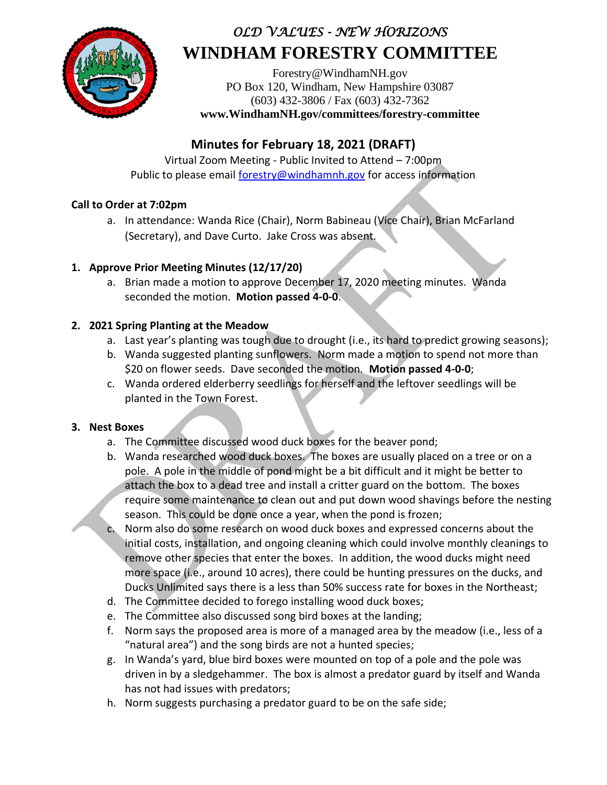

# *OLD VALUES - NEW HORIZONS* **WINDHAM FORESTRY COMMITTEE**

Forestry@WindhamNH.gov PO Box 120, Windham, New Hampshire 03087 (603) 432-3806 / Fax (603) 432-7362 **www.WindhamNH.gov/committees/forestry-committee**

## **Minutes for February 18, 2021 (DRAFT)**

Virtual Zoom Meeting - Public Invited to Attend – 7:00pm Public to please email forestry@windhamnh.gov for access information

#### **Call to Order at 7:02pm**

a. In attendance: Wanda Rice (Chair), Norm Babineau (Vice Chair), Brian McFarland (Secretary), and Dave Curto. Jake Cross was absent.

#### **1. Approve Prior Meeting Minutes (12/17/20)**

a. Brian made a motion to approve December 17, 2020 meeting minutes. Wanda seconded the motion. **Motion passed 4-0-0**.

#### **2. 2021 Spring Planting at the Meadow**

- a. Last year's planting was tough due to drought (i.e., its hard to predict growing seasons);
- b. Wanda suggested planting sunflowers. Norm made a motion to spend not more than \$20 on flower seeds. Dave seconded the motion. **Motion passed 4-0-0**;
- c. Wanda ordered elderberry seedlings for herself and the leftover seedlings will be planted in the Town Forest.

#### **3. Nest Boxes**

- a. The Committee discussed wood duck boxes for the beaver pond;
- b. Wanda researched wood duck boxes. The boxes are usually placed on a tree or on a pole. A pole in the middle of pond might be a bit difficult and it might be better to attach the box to a dead tree and install a critter guard on the bottom. The boxes require some maintenance to clean out and put down wood shavings before the nesting season. This could be done once a year, when the pond is frozen;
- c. Norm also do some research on wood duck boxes and expressed concerns about the initial costs, installation, and ongoing cleaning which could involve monthly cleanings to remove other species that enter the boxes. In addition, the wood ducks might need more space (i.e., around 10 acres), there could be hunting pressures on the ducks, and Ducks Unlimited says there is a less than 50% success rate for boxes in the Northeast;
- d. The Committee decided to forego installing wood duck boxes;
- e. The Committee also discussed song bird boxes at the landing;
- f. Norm says the proposed area is more of a managed area by the meadow (i.e., less of a "natural area") and the song birds are not a hunted species;
- g. In Wanda's yard, blue bird boxes were mounted on top of a pole and the pole was driven in by a sledgehammer. The box is almost a predator guard by itself and Wanda has not had issues with predators;
- h. Norm suggests purchasing a predator guard to be on the safe side;